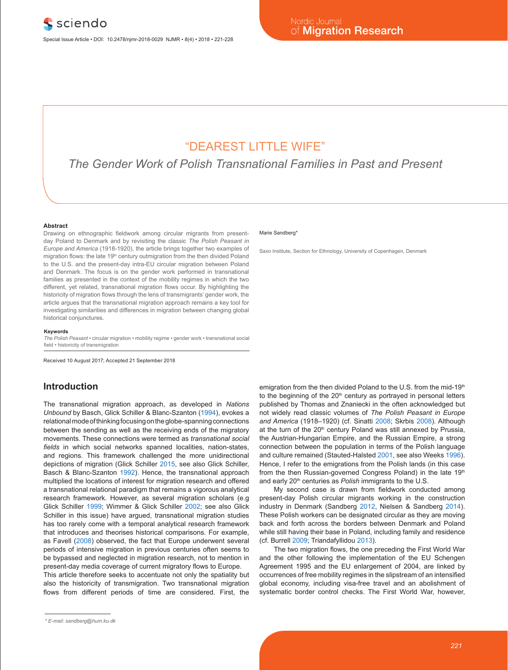## "DEAREST LITTLE WIFE"

*The Gender Work of Polish Transnational Families in Past and Present*

#### **Abstract**

Drawing on ethnographic fieldwork among circular migrants from presentday Poland to Denmark and by revisiting the classic *The Polish Peasant in Europe and America* (1918-1920), the article brings together two examples of migration flows: the late 19<sup>th</sup> century outmigration from the then divided Poland to the U.S. and the present-day intra-EU circular migration between Poland and Denmark. The focus is on the gender work performed in transnational families as presented in the context of the mobility regimes in which the two different, yet related, transnational migration flows occur. By highlighting the historicity of migration flows through the lens of transmigrants' gender work, the article argues that the transnational migration approach remains a key tool for investigating similarities and differences in migration between changing global historical conjunctures.

#### **Keywords**

*The Polish Peasant* • circular migration • mobility regime • gender work • transnational social field • historicity of transmigration

Received 10 August 2017; Accepted 21 September 2018

## **Introduction**

The transnational migration approach, as developed in *Nations Unbound* by Basch, Glick Schiller & Blanc-Szanton (1994), evokes a relational mode of thinking focusing on the globe-spanning connections between the sending as well as the receiving ends of the migratory movements. These connections were termed as *transnational social fields* in which social networks spanned localities, nation-states, and regions. This framework challenged the more unidirectional depictions of migration (Glick Schiller 2015, see also Glick Schiller, Basch & Blanc-Szanton 1992). Hence, the transnational approach multiplied the locations of interest for migration research and offered a transnational relational paradigm that remains a vigorous analytical research framework. However, as several migration scholars (e.g Glick Schiller 1999; Wimmer & Glick Schiller 2002; see also Glick Schiller in this issue) have argued, transnational migration studies has too rarely come with a temporal analytical research framework that introduces and theorises historical comparisons. For example, as Favell (2008) observed, the fact that Europe underwent several periods of intensive migration in previous centuries often seems to be bypassed and neglected in migration research, not to mention in present-day media coverage of current migratory flows to Europe.

This article therefore seeks to accentuate not only the spatiality but also the historicity of transmigration. Two transnational migration flows from different periods of time are considered. First, the

#### Marie Sandberg\*

Saxo Institute, Section for Ethnology, University of Copenhagen, Denmark

emigration from the then divided Poland to the U.S. from the mid-19<sup>th</sup> to the beginning of the  $20<sup>th</sup>$  century as portrayed in personal letters published by Thomas and Znaniecki in the often acknowledged but not widely read classic volumes of *The Polish Peasant in Europe and America* (1918–1920) (cf. Sinatti 2008; Skrbis 2008). Although at the turn of the 20<sup>th</sup> century Poland was still annexed by Prussia, the Austrian-Hungarian Empire, and the Russian Empire, a strong connection between the population in terms of the Polish language and culture remained (Stauted-Halsted 2001, see also Weeks 1996). Hence, I refer to the emigrations from the Polish lands (in this case from the then Russian-governed Congress Poland) in the late 19th and early 20<sup>th</sup> centuries as *Polish* immigrants to the U.S.

My second case is drawn from fieldwork conducted among present-day Polish circular migrants working in the construction industry in Denmark (Sandberg 2012, Nielsen & Sandberg 2014). These Polish workers can be designated circular as they are moving back and forth across the borders between Denmark and Poland while still having their base in Poland, including family and residence (cf. Burrell 2009; Triandafyllidou 2013).

The two migration flows, the one preceding the First World War and the other following the implementation of the EU Schengen Agreement 1995 and the EU enlargement of 2004, are linked by occurrences of free mobility regimes in the slipstream of an intensified global economy, including visa-free travel and an abolishment of systematic border control checks. The First World War, however,

*<sup>\*</sup> E-mail: sandberg@hum.ku.dk*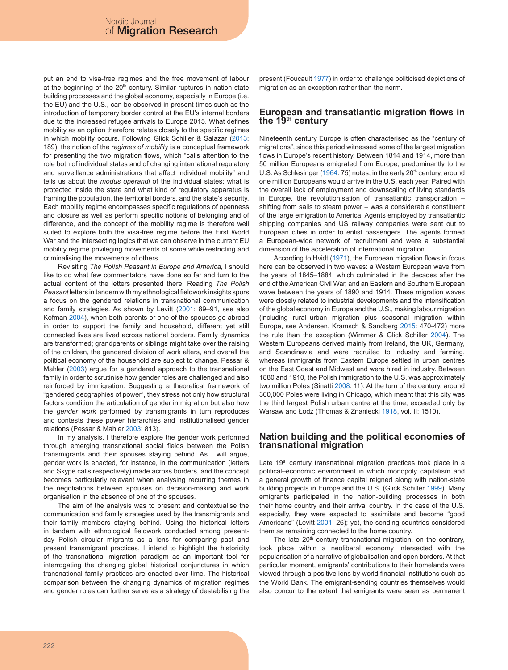put an end to visa-free regimes and the free movement of labour at the beginning of the 20<sup>th</sup> century. Similar ruptures in nation-state building processes and the global economy, especially in Europe (i.e. the EU) and the U.S., can be observed in present times such as the introduction of temporary border control at the EU's internal borders due to the increased refugee arrivals to Europe 2015. What defines mobility as an option therefore relates closely to the specific regimes in which mobility occurs. Following Glick Schiller & Salazar (2013: 189), the notion of the *regimes of mobility* is a conceptual framework for presenting the two migration flows, which "calls attention to the role both of individual states and of changing international regulatory and surveillance administrations that affect individual mobility" and tells us about the *modus operandi* of the individual states: what is protected inside the state and what kind of regulatory apparatus is framing the population, the territorial borders, and the state's security. Each mobility regime encompasses specific regulations of openness and closure as well as perform specific notions of belonging and of difference, and the concept of the mobility regime is therefore well suited to explore both the visa-free regime before the First World War and the intersecting logics that we can observe in the current EU mobility regime privileging movements of some while restricting and criminalising the movements of others.

Revisiting *The Polish Peasant in Europe and America,* I should like to do what few commentators have done so far and turn to the actual content of the letters presented there. Reading *The Polish Peasant* letters in tandem with my ethnological fieldwork insights spurs a focus on the gendered relations in transnational communication and family strategies. As shown by Levitt (2001: 89–91, see also Kofman 2004), when both parents or one of the spouses go abroad in order to support the family and household, different yet still connected lives are lived across national borders. Family dynamics are transformed; grandparents or siblings might take over the raising of the children, the gendered division of work alters, and overall the political economy of the household are subject to change. Pessar & Mahler (2003) argue for a gendered approach to the transnational family in order to scrutinise how gender roles are challenged and also reinforced by immigration. Suggesting a theoretical framework of "gendered geographies of power", they stress not only how structural factors condition the articulation of gender in migration but also how the *gender work* performed by transmigrants in turn reproduces and contests these power hierarchies and institutionalised gender relations (Pessar & Mahler 2003: 813).

In my analysis, I therefore explore the gender work performed through emerging transnational social fields between the Polish transmigrants and their spouses staying behind. As I will argue, gender work is enacted, for instance, in the communication (letters and Skype calls respectively) made across borders, and the concept becomes particularly relevant when analysing recurring themes in the negotiations between spouses on decision-making and work organisation in the absence of one of the spouses.

The aim of the analysis was to present and contextualise the communication and family strategies used by the transmigrants and their family members staying behind. Using the historical letters in tandem with ethnological fieldwork conducted among presentday Polish circular migrants as a lens for comparing past and present transmigrant practices, I intend to highlight the historicity of the transnational migration paradigm as an important tool for interrogating the changing global historical conjunctures in which transnational family practices are enacted over time. The historical comparison between the changing dynamics of migration regimes and gender roles can further serve as a strategy of destabilising the present (Foucault 1977) in order to challenge politicised depictions of migration as an exception rather than the norm.

## **European and transatlantic migration flows in the 19th century**

Nineteenth century Europe is often characterised as the "century of migrations", since this period witnessed some of the largest migration flows in Europe's recent history. Between 1814 and 1914, more than 50 million Europeans emigrated from Europe, predominantly to the U.S. As Schlesinger (1964: 75) notes, in the early  $20<sup>th</sup>$  century, around one million Europeans would arrive in the U.S. each year. Paired with the overall lack of employment and downscaling of living standards in Europe, the revolutionisation of transatlantic transportation – shifting from sails to steam power – was a considerable constituent of the large emigration to America. Agents employed by transatlantic shipping companies and US railway companies were sent out to European cities in order to enlist passengers. The agents formed a European-wide network of recruitment and were a substantial dimension of the acceleration of international migration.

According to Hvidt (1971), the European migration flows in focus here can be observed in two waves: a Western European wave from the years of 1845–1884, which culminated in the decades after the end of the American Civil War, and an Eastern and Southern European wave between the years of 1890 and 1914. These migration waves were closely related to industrial developments and the intensification of the global economy in Europe and the U.S., making labour migration (including rural–urban migration plus seasonal migration within Europe, see Andersen, Kramsch & Sandberg 2015: 470-472) more the rule than the exception (Wimmer & Glick Schiller 2004). The Western Europeans derived mainly from Ireland, the UK, Germany, and Scandinavia and were recruited to industry and farming, whereas immigrants from Eastern Europe settled in urban centres on the East Coast and Midwest and were hired in industry. Between 1880 and 1910, the Polish immigration to the U.S. was approximately two million Poles (Sinatti 2008: 11). At the turn of the century, around 360,000 Poles were living in Chicago, which meant that this city was the third largest Polish urban centre at the time, exceeded only by Warsaw and Łodz (Thomas & Znaniecki 1918, vol. II: 1510).

## **Nation building and the political economies of transnational migration**

Late 19<sup>th</sup> century transnational migration practices took place in a political–economic environment in which monopoly capitalism and a general growth of finance capital reigned along with nation-state building projects in Europe and the U.S. (Glick Schiller 1999). Many emigrants participated in the nation-building processes in both their home country and their arrival country. In the case of the U.S. especially, they were expected to assimilate and become "good Americans" (Levitt 2001: 26); yet, the sending countries considered them as remaining connected to the home country.

The late  $20<sup>th</sup>$  century transnational migration, on the contrary, took place within a neoliberal economy intersected with the popularisation of a narrative of globalisation and open borders. At that particular moment, emigrants' contributions to their homelands were viewed through a positive lens by world financial institutions such as the World Bank. The emigrant-sending countries themselves would also concur to the extent that emigrants were seen as permanent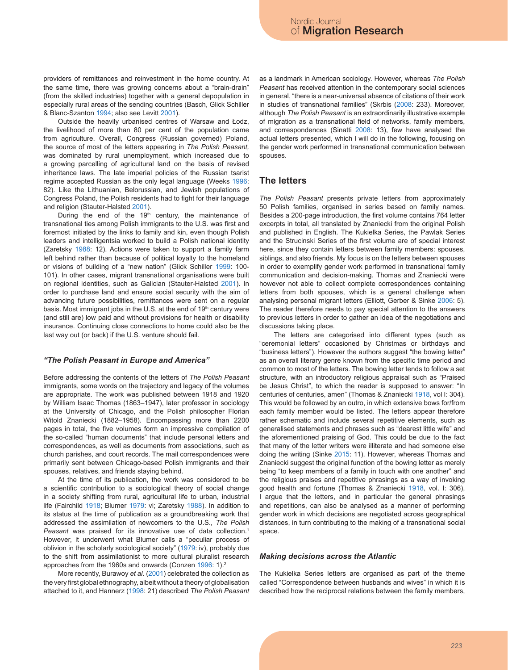providers of remittances and reinvestment in the home country. At the same time, there was growing concerns about a "brain-drain" (from the skilled industries) together with a general depopulation in especially rural areas of the sending countries (Basch, Glick Schiller & Blanc-Szanton 1994; also see Levitt 2001).

Outside the heavily urbanised centres of Warsaw and Łodz, the livelihood of more than 80 per cent of the population came from agriculture. Overall, Congress (Russian governed) Poland, the source of most of the letters appearing in *The Polish Peasant,* was dominated by rural unemployment, which increased due to a growing parcelling of agricultural land on the basis of revised inheritance laws. The late imperial policies of the Russian tsarist regime accepted Russian as the only legal language (Weeks 1996: 82). Like the Lithuanian, Belorussian, and Jewish populations of Congress Poland, the Polish residents had to fight for their language and religion (Stauter-Halsted 2001).

During the end of the 19<sup>th</sup> century, the maintenance of transnational ties among Polish immigrants to the U.S. was first and foremost initiated by the links to family and kin, even though Polish leaders and intelligentsia worked to build a Polish national identity (Zaretsky 1988: 12). Actions were taken to support a family farm left behind rather than because of political loyalty to the homeland or visions of building of a "new nation" (Glick Schiller 1999: 100- 101). In other cases, migrant transnational organisations were built on regional identities, such as Galician (Stauter-Halsted 2001). In order to purchase land and ensure social security with the aim of advancing future possibilities, remittances were sent on a regular basis. Most immigrant jobs in the U.S. at the end of 19<sup>th</sup> century were (and still are) low paid and without provisions for health or disability insurance. Continuing close connections to home could also be the last way out (or back) if the U.S. venture should fail.

#### *"The Polish Peasant in Europe and America"*

Before addressing the contents of the letters of *The Polish Peasant* immigrants, some words on the trajectory and legacy of the volumes are appropriate*.* The work was published between 1918 and 1920 by William Isaac Thomas (1863–1947), later professor in sociology at the University of Chicago, and the Polish philosopher Florian Witold Znaniecki (1882–1958). Encompassing more than 2200 pages in total, the five volumes form an impressive compilation of the so-called "human documents" that include personal letters and correspondences, as well as documents from associations, such as church parishes, and court records. The mail correspondences were primarily sent between Chicago-based Polish immigrants and their spouses, relatives, and friends staying behind.

At the time of its publication, the work was considered to be a scientific contribution to a sociological theory of social change in a society shifting from rural, agricultural life to urban, industrial life (Fairchild 1918; Blumer 1979: vi; Zaretsky 1988). In addition to its status at the time of publication as a groundbreaking work that addressed the assimilation of newcomers to the U.S., *The Polish Peasant* was praised for its innovative use of data collection.1 However, it underwent what Blumer calls a "peculiar process of oblivion in the scholarly sociological society" (1979: iv), probably due to the shift from assimilationist to more cultural pluralist research approaches from the 1960s and onwards (Conzen 1996: 1).<sup>2</sup>

More recently, Burawoy *et al.* (2001) celebrated the collection as the very first global ethnography, albeit without a theory of globalisation attached to it, and Hannerz (1998: 21) described *The Polish Peasant* as a landmark in American sociology. However, whereas *The Polish Peasant* has received attention in the contemporary social sciences in general, "there is a near-universal absence of citations of their work in studies of transnational families" (Skrbis (2008: 233). Moreover, although *The Polish Peasant* is an extraordinarily illustrative example of migration as a transnational field of networks, family members, and correspondences (Sinatti 2008: 13), few have analysed the actual letters presented, which I will do in the following, focusing on the gender work performed in transnational communication between spouses.

## **The letters**

*The Polish Peasant* presents private letters from approximately 50 Polish families, organised in series based on family names. Besides a 200-page introduction, the first volume contains 764 letter excerpts in total, all translated by Znaniecki from the original Polish and published in English. The Kukielka Series, the Pawlak Series and the Strucinski Series of the first volume are of special interest here, since they contain letters between family members: spouses, siblings, and also friends. My focus is on the letters between spouses in order to exemplify gender work performed in transnational family communication and decision-making. Thomas and Znaniecki were however not able to collect complete correspondences containing letters from both spouses, which is a general challenge when analysing personal migrant letters (Elliott, Gerber & Sinke 2006: 5). The reader therefore needs to pay special attention to the answers to previous letters in order to gather an idea of the negotiations and discussions taking place.

The letters are categorised into different types (such as "ceremonial letters" occasioned by Christmas or birthdays and "business letters"). However the authors suggest "the bowing letter" as an overall literary genre known from the specific time period and common to most of the letters*.* The bowing letter tends to follow a set structure, with an introductory religious appraisal such as "Praised be Jesus Christ", to which the reader is supposed to answer: "In centuries of centuries, amen" (Thomas & Znaniecki 1918, vol I: 304). This would be followed by an outro, in which extensive bows for/from each family member would be listed. The letters appear therefore rather schematic and include several repetitive elements, such as generalised statements and phrases such as "dearest little wife" and the aforementioned praising of God. This could be due to the fact that many of the letter writers were illiterate and had someone else doing the writing (Sinke 2015: 11). However, whereas Thomas and Znaniecki suggest the original function of the bowing letter as merely being "to keep members of a family in touch with one another" and the religious praises and repetitive phrasings as a way of invoking good health and fortune (Thomas & Znaniecki 1918, vol. I: 306), I argue that the letters, and in particular the general phrasings and repetitions, can also be analysed as a manner of performing gender work in which decisions are negotiated across geographical distances, in turn contributing to the making of a transnational social space.

#### *Making decisions across the Atlantic*

The Kukielka Series letters are organised as part of the theme called "Correspondence between husbands and wives" in which it is described how the reciprocal relations between the family members,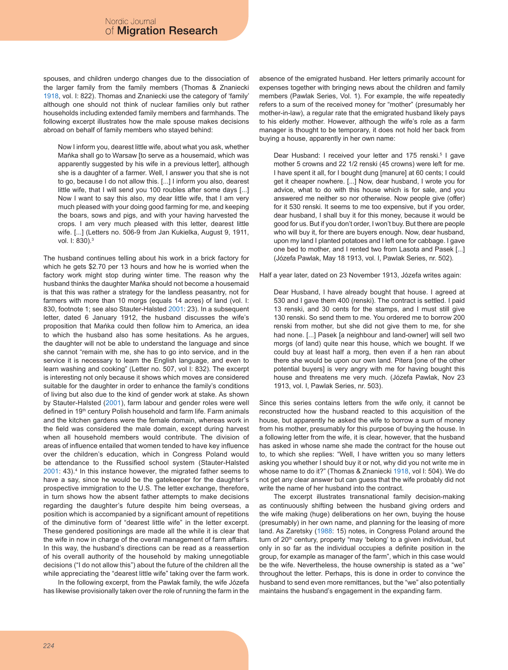spouses, and children undergo changes due to the dissociation of the larger family from the family members (Thomas & Znaniecki 1918, vol. I: 822). Thomas and Znaniecki use the category of 'family' although one should not think of nuclear families only but rather households including extended family members and farmhands. The following excerpt illustrates how the male spouse makes decisions abroad on behalf of family members who stayed behind:

Now I inform you, dearest little wife, about what you ask, whether Mańka shall go to Warsaw [to serve as a housemaid, which was apparently suggested by his wife in a previous letter], although she is a daughter of a farmer. Well, I answer you that she is not to go, because I do not allow this. [...] I inform you also, dearest little wife, that I will send you 100 roubles after some days [...] Now I want to say this also, my dear little wife, that I am very much pleased with your doing good farming for me, and keeping the boars, sows and pigs, and with your having harvested the crops. I am very much pleased with this letter, dearest little wife. [...] (Letters no. 506-9 from Jan Kukielka, August 9, 1911, vol. I: 830).3

The husband continues telling about his work in a brick factory for which he gets \$2.70 per 13 hours and how he is worried when the factory work might stop during winter time. The reason why the husband thinks the daughter Mańka should not become a housemaid is that this was rather a strategy for the landless peasantry, not for farmers with more than 10 morgs (equals 14 acres) of land (vol. I: 830, footnote 1; see also Stauter-Halsted 2001: 23). In a subsequent letter, dated 6 January 1912, the husband discusses the wife's proposition that Mańka could then follow him to America, an idea to which the husband also has some hesitations. As he argues, the daughter will not be able to understand the language and since she cannot "remain with me, she has to go into service, and in the service it is necessary to learn the English language, and even to learn washing and cooking" (Letter no. 507, vol I: 832). The excerpt is interesting not only because it shows which moves are considered suitable for the daughter in order to enhance the family's conditions of living but also due to the kind of gender work at stake. As shown by Stauter-Halsted (2001), farm labour and gender roles were well defined in 19<sup>th</sup> century Polish household and farm life. Farm animals and the kitchen gardens were the female domain, whereas work in the field was considered the male domain, except during harvest when all household members would contribute. The division of areas of influence entailed that women tended to have key influence over the children's education, which in Congress Poland would be attendance to the Russified school system (Stauter-Halsted 2001: 43).<sup>4</sup> In this instance however, the migrated father seems to have a say, since he would be the gatekeeper for the daughter's prospective immigration to the U.S. The letter exchange, therefore, in turn shows how the absent father attempts to make decisions regarding the daughter's future despite him being overseas, a position which is accompanied by a significant amount of repetitions of the diminutive form of "dearest little wife" in the letter excerpt. These gendered positionings are made all the while it is clear that the wife in now in charge of the overall management of farm affairs. In this way, the husband's directions can be read as a reassertion of his overall authority of the household by making unnegotiable decisions ("I do not allow this") about the future of the children all the while appreciating the "dearest little wife" taking over the farm work.

In the following excerpt, from the Pawlak family, the wife Józefa has likewise provisionally taken over the role of running the farm in the absence of the emigrated husband. Her letters primarily account for expenses together with bringing news about the children and family members (Pawlak Series, Vol. 1). For example, the wife repeatedly refers to a sum of the received money for "mother" (presumably her mother-in-law), a regular rate that the emigrated husband likely pays to his elderly mother. However, although the wife's role as a farm manager is thought to be temporary, it does not hold her back from buying a house, apparently in her own name:

Dear Husband: I received your letter and 175 renski.<sup>5</sup> I gave mother 5 crowns and 22 1/2 renski (45 crowns) were left for me. I have spent it all, for I bought dung [manure] at 60 cents; I could get it cheaper nowhere. [...] Now, dear husband, I wrote you for advice, what to do with this house which is for sale, and you answered me neither so nor otherwise. Now people give (offer) for it 530 renski. It seems to me too expensive, but if you order, dear husband, I shall buy it for this money, because it would be good for us. But if you don't order, I won't buy. But there are people who will buy it, for there are buyers enough. Now, dear husband, upon my land I planted potatoes and I left one for cabbage. I gave one bed to mother, and I rented two from Lasota and Pasek [...] (Józefa Pawlak, May 18 1913, vol. I, Pawlak Series, nr. 502).

Half a year later, dated on 23 November 1913, Józefa writes again:

Dear Husband, I have already bought that house. I agreed at 530 and I gave them 400 (renski). The contract is settled. I paid 13 renski, and 30 cents for the stamps, and I must still give 130 renski. So send them to me. You ordered me to borrow 200 renski from mother, but she did not give them to me, for she had none. [...] Pasek [a neighbour and land-owner] will sell two morgs (of land) quite near this house, which we bought. If we could buy at least half a morg, then even if a hen ran about there she would be upon our own land. Pitera [one of the other potential buyers] is very angry with me for having bought this house and threatens me very much. (Józefa Pawlak, Nov 23 1913, vol. I, Pawlak Series, nr. 503).

Since this series contains letters from the wife only, it cannot be reconstructed how the husband reacted to this acquisition of the house, but apparently he asked the wife to borrow a sum of money from his mother, presumably for this purpose of buying the house. In a following letter from the wife, it is clear, however, that the husband has asked in whose name she made the contract for the house out to, to which she replies: "Well, I have written you so many letters asking you whether I should buy it or not, why did you not write me in whose name to do it?" (Thomas & Znaniecki 1918, vol I: 504). We do not get any clear answer but can guess that the wife probably did not write the name of her husband into the contract.

The excerpt illustrates transnational family decision-making as continuously shifting between the husband giving orders and the wife making (huge) deliberations on her own, buying the house (presumably) in her own name, and planning for the leasing of more land. As Zaretsky (1988: 15) notes, in Congress Poland around the turn of  $20<sup>th</sup>$  century, property "may 'belong' to a given individual, but only in so far as the individual occupies a definite position in the group, for example as manager of the farm", which in this case would be the wife. Nevertheless, the house ownership is stated as a "we" throughout the letter. Perhaps, this is done in order to convince the husband to send even more remittances, but the "we" also potentially maintains the husband's engagement in the expanding farm.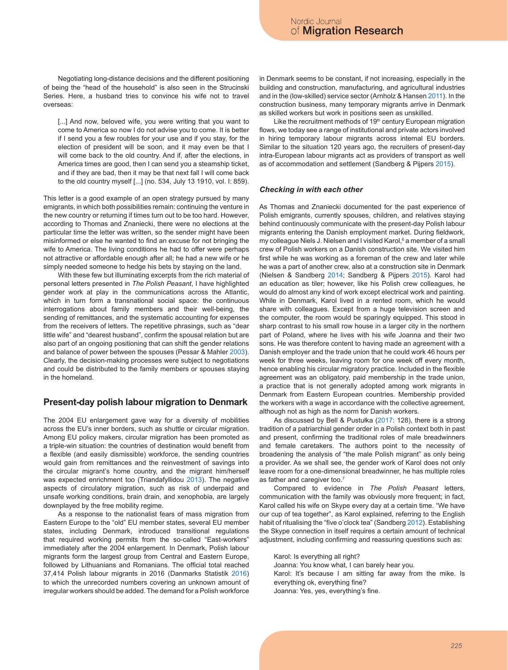Negotiating long-distance decisions and the different positioning of being the "head of the household" is also seen in the Strucinski Series. Here, a husband tries to convince his wife not to travel overseas:

[...] And now, beloved wife, you were writing that you want to come to America so now I do not advise you to come. It is better if I send you a few roubles for your use and if you stay, for the election of president will be soon, and it may even be that I will come back to the old country. And if, after the elections, in America times are good, then I can send you a steamship ticket, and if they are bad, then it may be that next fall I will come back to the old country myself [...] (no. 534, July 13 1910, vol. I: 859).

This letter is a good example of an open strategy pursued by many emigrants, in which both possibilities remain: continuing the venture in the new country or returning if times turn out to be too hard. However, according to Thomas and Znaniecki, there were no elections at the particular time the letter was written, so the sender might have been misinformed or else he wanted to find an excuse for not bringing the wife to America. The living conditions he had to offer were perhaps not attractive or affordable enough after all; he had a new wife or he simply needed someone to hedge his bets by staying on the land.

With these few but illuminating excerpts from the rich material of personal letters presented in *The Polish Peasant*, I have highlighted gender work at play in the communications across the Atlantic, which in turn form a transnational social space: the continuous interrogations about family members and their well-being, the sending of remittances, and the systematic accounting for expenses from the receivers of letters. The repetitive phrasings, such as "dear little wife" and "dearest husband", confirm the spousal relation but are also part of an ongoing positioning that can shift the gender relations and balance of power between the spouses (Pessar & Mahler 2003). Clearly, the decision-making processes were subject to negotiations and could be distributed to the family members or spouses staying in the homeland.

## **Present-day polish labour migration to Denmark**

The 2004 EU enlargement gave way for a diversity of mobilities across the EU's inner borders, such as shuttle or circular migration. Among EU policy makers, circular migration has been promoted as a triple-win situation: the countries of destination would benefit from a flexible (and easily dismissible) workforce, the sending countries would gain from remittances and the reinvestment of savings into the circular migrant's home country, and the migrant him/herself was expected enrichment too (Triandafyllidou 2013). The negative aspects of circulatory migration, such as risk of underpaid and unsafe working conditions, brain drain, and xenophobia, are largely downplayed by the free mobility regime.

As a response to the nationalist fears of mass migration from Eastern Europe to the "old" EU member states, several EU member states, including Denmark, introduced transitional regulations that required working permits from the so-called "East-workers" immediately after the 2004 enlargement. In Denmark, Polish labour migrants form the largest group from Central and Eastern Europe, followed by Lithuanians and Romanians. The official total reached 37,414 Polish labour migrants in 2016 (Danmarks Statistik 2016) to which the unrecorded numbers covering an unknown amount of irregular workers should be added. The demand for a Polish workforce in Denmark seems to be constant, if not increasing, especially in the building and construction, manufacturing, and agricultural industries and in the (low-skilled) service sector (Arnholz & Hansen 2011). In the construction business, many temporary migrants arrive in Denmark as skilled workers but work in positions seen as unskilled.

Like the recruitment methods of 19<sup>th</sup> century European migration flows, we today see a range of institutional and private actors involved in hiring temporary labour migrants across internal EU borders. Similar to the situation 120 years ago, the recruiters of present-day intra-European labour migrants act as providers of transport as well as of accommodation and settlement (Sandberg & Pijpers 2015).

#### *Checking in with each other*

As Thomas and Znaniecki documented for the past experience of Polish emigrants, currently spouses, children, and relatives staying behind continuously communicate with the present-day Polish labour migrants entering the Danish employment market. During fieldwork, my colleague Niels J. Nielsen and I visited Karol,<sup>6</sup> a member of a small crew of Polish workers on a Danish construction site. We visited him first while he was working as a foreman of the crew and later while he was a part of another crew, also at a construction site in Denmark (Nielsen & Sandberg 2014; Sandberg & Pijpers 2015). Karol had an education as tiler; however, like his Polish crew colleagues, he would do almost any kind of work except electrical work and painting. While in Denmark, Karol lived in a rented room, which he would share with colleagues. Except from a huge television screen and the computer, the room would be sparingly equipped. This stood in sharp contrast to his small row house in a larger city in the northern part of Poland, where he lives with his wife Joanna and their two sons. He was therefore content to having made an agreement with a Danish employer and the trade union that he could work 46 hours per week for three weeks, leaving room for one week off every month, hence enabling his circular migratory practice. Included in the flexible agreement was an obligatory, paid membership in the trade union, a practice that is not generally adopted among work migrants in Denmark from Eastern European countries. Membership provided the workers with a wage in accordance with the collective agreement, although not as high as the norm for Danish workers.

As discussed by Bell & Pustułka (2017: 128), there is a strong tradition of a patriarchial gender order in a Polish context both in past and present, confirming the traditional roles of male breadwinners and female caretakers. The authors point to the necessity of broadening the analysis of "the male Polish migrant" as only being a provider. As we shall see, the gender work of Karol does not only leave room for a one-dimensional breadwinner, he has multiple roles as father and caregiver too.7

Compared to evidence in *The Polish Peasant* letters, communication with the family was obviously more frequent; in fact, Karol called his wife on Skype every day at a certain time. "We have our cup of tea together", as Karol explained, referring to the English habit of ritualising the "five o'clock tea" (Sandberg 2012). Establishing the Skype connection in itself requires a certain amount of technical adjustment, including confirming and reassuring questions such as:

Karol: Is everything all right? Joanna: You know what, I can barely hear you. Karol: It's because I am sitting far away from the mike. Is everything ok, everything fine? Joanna: Yes, yes, everything's fine.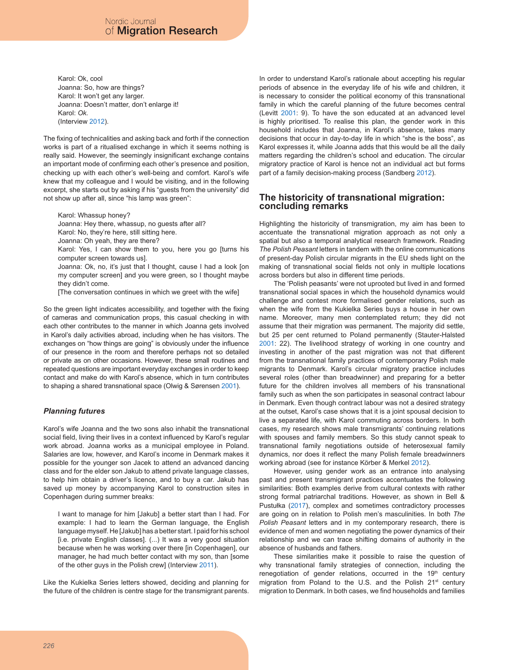Karol: Ok, cool Joanna: So, how are things? Karol: It won't get any larger. Joanna: Doesn't matter, don't enlarge it! Karol: *Ok.* (Interview 2012).

The fixing of technicalities and asking back and forth if the connection works is part of a ritualised exchange in which it seems nothing is really said. However, the seemingly insignificant exchange contains an important mode of confirming each other's presence and position, checking up with each other's well-being and comfort. Karol's wife knew that my colleague and I would be visiting, and in the following excerpt, she starts out by asking if his "guests from the university" did not show up after all, since "his lamp was green":

Karol: Whassup honey? Joanna: Hey there, whassup, no guests after all? Karol: No, they're here, still sitting here. Joanna: Oh yeah, they are there? Karol: Yes, I can show them to you, here you go [turns his computer screen towards us]. Joanna: Ok, no, it's just that I thought, cause I had a look [on my computer screen] and you were green, so I thought maybe they didn't come.

[The conversation continues in which we greet with the wife]

So the green light indicates accessibility, and together with the fixing of cameras and communication props, this casual checking in with each other contributes to the manner in which Joanna gets involved in Karol's daily activities abroad, including when he has visitors. The exchanges on "how things are going" is obviously under the influence of our presence in the room and therefore perhaps not so detailed or private as on other occasions. However, these small routines and repeated questions are important everyday exchanges in order to keep contact and make do with Karol's absence, which in turn contributes to shaping a shared transnational space (Olwig & Sørensen 2001).

## *Planning futures*

Karol's wife Joanna and the two sons also inhabit the transnational social field, living their lives in a context influenced by Karol's regular work abroad. Joanna works as a municipal employee in Poland. Salaries are low, however, and Karol's income in Denmark makes it possible for the younger son Jacek to attend an advanced dancing class and for the elder son Jakub to attend private language classes, to help him obtain a driver's licence, and to buy a car. Jakub has saved up money by accompanying Karol to construction sites in Copenhagen during summer breaks:

I want to manage for him [Jakub] a better start than I had. For example: I had to learn the German language, the English language myself. He [Jakub] has a better start. I paid for his school [i.e. private English classes]. (...) It was a very good situation because when he was working over there [in Copenhagen], our manager, he had much better contact with my son, than [some of the other guys in the Polish crew] (Interview 2011).

Like the Kukielka Series letters showed, deciding and planning for the future of the children is centre stage for the transmigrant parents.

In order to understand Karol's rationale about accepting his regular periods of absence in the everyday life of his wife and children, it is necessary to consider the political economy of this transnational family in which the careful planning of the future becomes central (Levitt 2001: 9). To have the son educated at an advanced level is highly prioritised. To realise this plan, the gender work in this household includes that Joanna, in Karol's absence, takes many decisions that occur in day-to-day life in which "she is the boss", as Karol expresses it, while Joanna adds that this would be all the daily matters regarding the children's school and education. The circular migratory practice of Karol is hence not an individual act but forms part of a family decision-making process (Sandberg 2012).

## **The historicity of transnational migration: concluding remarks**

Highlighting the historicity of transmigration, my aim has been to accentuate the transnational migration approach as not only a spatial but also a temporal analytical research framework. Reading *The Polish Peasant* letters in tandem with the online communications of present-day Polish circular migrants in the EU sheds light on the making of transnational social fields not only in multiple locations across borders but also in different time periods.

The 'Polish peasants' were not uprooted but lived in and formed transnational social spaces in which the household dynamics would challenge and contest more formalised gender relations, such as when the wife from the Kukielka Series buys a house in her own name. Moreover, many men contemplated return; they did not assume that their migration was permanent. The majority did settle, but 25 per cent returned to Poland permanently (Stauter-Halsted 2001: 22). The livelihood strategy of working in one country and investing in another of the past migration was not that different from the transnational family practices of contemporary Polish male migrants to Denmark. Karol's circular migratory practice includes several roles (other than breadwinner) and preparing for a better future for the children involves all members of his transnational family such as when the son participates in seasonal contract labour in Denmark. Even though contract labour was not a desired strategy at the outset, Karol's case shows that it is a joint spousal decision to live a separated life, with Karol commuting across borders. In both cases, my research shows male transmigrants' continuing relations with spouses and family members. So this study cannot speak to transnational family negotiations outside of heterosexual family dynamics, nor does it reflect the many Polish female breadwinners working abroad (see for instance Körber & Merkel 2012).

However, using gender work as an entrance into analysing past and present transmigrant practices accentuates the following similarities: Both examples derive from cultural contexts with rather strong formal patriarchal traditions. However, as shown in Bell & Pustułka (2017), complex and sometimes contradictory processes are going on in relation to Polish men's masculinities. In both *The Polish Peasant* letters and in my contemporary research, there is evidence of men and women negotiating the power dynamics of their relationship and we can trace shifting domains of authority in the absence of husbands and fathers.

These similarities make it possible to raise the question of why transnational family strategies of connection, including the renegotiation of gender relations, occurred in the 19<sup>th</sup> century migration from Poland to the U.S. and the Polish 21<sup>st</sup> century migration to Denmark. In both cases, we find households and families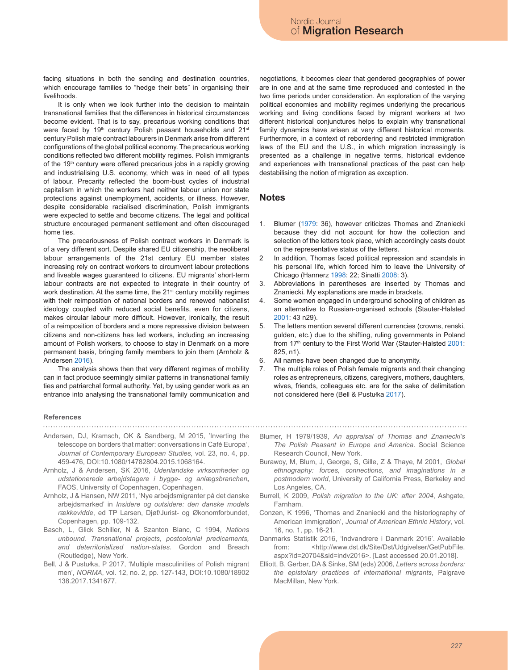facing situations in both the sending and destination countries, which encourage families to "hedge their bets" in organising their livelihoods.

It is only when we look further into the decision to maintain transnational families that the differences in historical circumstances become evident. That is to say, precarious working conditions that were faced by 19<sup>th</sup> century Polish peasant households and 21<sup>st</sup> century Polish male contract labourers in Denmark arise from different configurations of the global political economy. The precarious working conditions reflected two different mobility regimes. Polish immigrants of the 19<sup>th</sup> century were offered precarious jobs in a rapidly growing and industrialising U.S. economy, which was in need of all types of labour. Precarity reflected the boom-bust cycles of industrial capitalism in which the workers had neither labour union nor state protections against unemployment, accidents, or illness. However, despite considerable racialised discrimination, Polish immigrants were expected to settle and become citizens. The legal and political structure encouraged permanent settlement and often discouraged home ties.

The precariousness of Polish contract workers in Denmark is of a very different sort. Despite shared EU citizenship, the neoliberal labour arrangements of the 21st century EU member states increasing rely on contract workers to circumvent labour protections and liveable wages guaranteed to citizens. EU migrants' short-term labour contracts are not expected to integrate in their country of work destination. At the same time, the 21<sup>st</sup> century mobility regimes with their reimposition of national borders and renewed nationalist ideology coupled with reduced social benefits, even for citizens, makes circular labour more difficult. However, ironically, the result of a reimposition of borders and a more repressive division between citizens and non-citizens has led workers, including an increasing amount of Polish workers, to choose to stay in Denmark on a more permanent basis, bringing family members to join them (Arnholz & Andersen 2016).

The analysis shows then that very different regimes of mobility can in fact produce seemingly similar patterns in transnational family ties and patriarchal formal authority. Yet, by using gender work as an entrance into analysing the transnational family communication and negotiations, it becomes clear that gendered geographies of power are in one and at the same time reproduced and contested in the two time periods under consideration. An exploration of the varying political economies and mobility regimes underlying the precarious working and living conditions faced by migrant workers at two different historical conjunctures helps to explain why transnational family dynamics have arisen at very different historical moments. Furthermore, in a context of rebordering and restricted immigration laws of the EU and the U.S., in which migration increasingly is presented as a challenge in negative terms, historical evidence and experiences with transnational practices of the past can help destabilising the notion of migration as exception.

## **Notes**

- 1. Blumer (1979: 36), however criticizes Thomas and Znaniecki because they did not account for how the collection and selection of the letters took place, which accordingly casts doubt on the representative status of the letters.
- 2 In addition, Thomas faced political repression and scandals in his personal life, which forced him to leave the University of Chicago (Hannerz 1998: 22; Sinatti 2008: 3).
- 3. Abbreviations in parentheses are inserted by Thomas and Znaniecki. My explanations are made in brackets.
- 4. Some women engaged in underground schooling of children as an alternative to Russian-organised schools (Stauter-Halsted 2001: 43 n29).
- 5. The letters mention several different currencies (crowns, renski, gulden, etc.) due to the shifting, ruling governments in Poland from 17<sup>th</sup> century to the First World War (Stauter-Halsted 2001: 825, n1).
- 6. All names have been changed due to anonymity.
- 7. The multiple roles of Polish female migrants and their changing roles as entrepreneurs, citizens, caregivers, mothers, daughters, wives, friends, colleagues etc. are for the sake of delimitation not considered here (Bell & Pustułka 2017).

# **References**

- Andersen, DJ, Kramsch, OK & Sandberg, M 2015, 'Inverting the telescope on borders that matter: conversations in Café Europa', *Journal of Contemporary European Studies,* vol. 23, no. 4, pp. 459-476, DOI:10.1080/14782804.2015.1068164.
- Arnholz, J & Andersen, SK 2016, *Udenlandske virksomheder og udstationerede arbejdstagere i bygge- og anlægsbranchen***,**  FAOS, University of Copenhagen, Copenhagen.
- Arnholz, J & Hansen, NW 2011, 'Nye arbejdsmigranter på det danske arbejdsmarked' in *Insidere og outsidere: den danske models rækkevidde*, ed TP Larsen, Djøf/Jurist- og Økonomforbundet, Copenhagen, pp. 109-132.
- Basch, L, Glick Schiller, N & Szanton Blanc, C 1994, *Nations unbound. Transnational projects, postcolonial predicaments, and deterritorialized nation-states.* Gordon and Breach (Routledge), New York.
- Bell, J & Pustułka, P 2017, 'Multiple masculinities of Polish migrant men', *NORMA*, vol. 12, no. 2, pp. 127-143, DOI:10.1080/18902 138.2017.1341677.
- Blumer, H 1979/1939, *An appraisal of Thomas and Znaniecki's The Polish Peasant in Europe and America*. Social Science Research Council, New York.
- Burawoy, M, Blum, J, George, S, Gille, Z & Thaye, M 2001, *Global ethnography: forces, connections, and imaginations in a postmodern world*, University of California Press, Berkeley and Los Angeles, CA.
- Burrell, K 2009, *Polish migration to the UK: after 2004*, Ashgate, Farnham.
- Conzen, K 1996, 'Thomas and Znaniecki and the historiography of American immigration', *Journal of American Ethnic History*, vol. 16, no. 1, pp. 16-21.
- Danmarks Statistik 2016, 'Indvandrere i Danmark 2016'. Available from: <http://www.dst.dk/Site/Dst/Udgivelser/GetPubFile. aspx?id=20704&sid=indv2016>. [Last accessed 20.01.2018].
- Elliott, B, Gerber, DA & Sinke, SM (eds) 2006, *Letters across borders: the epistolary practices of international migrants*, Palgrave MacMillan, New York.